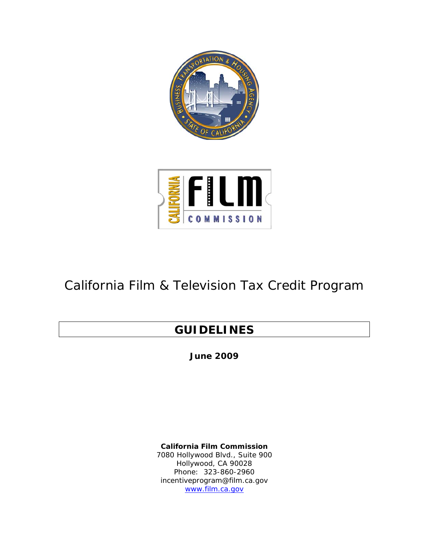



## California Film & Television Tax Credit Program

### **GUIDELINES**

**June 2009** 

**California Film Commission**  7080 Hollywood Blvd., Suite 900 Hollywood, CA 90028 Phone: 323-860-2960 incentiveprogram@film.ca.gov www.film.ca.gov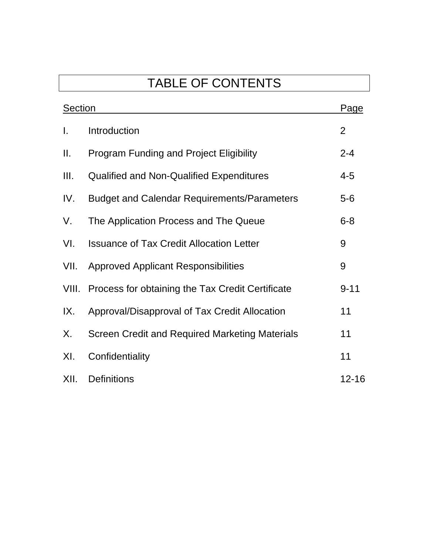# TABLE OF CONTENTS

| <b>Section</b> |                                                        | Page           |
|----------------|--------------------------------------------------------|----------------|
| $\mathbf{I}$ . | Introduction                                           | $\overline{2}$ |
| Ш.             | <b>Program Funding and Project Eligibility</b>         | $2 - 4$        |
| III.           | <b>Qualified and Non-Qualified Expenditures</b>        | $4 - 5$        |
| IV.            | <b>Budget and Calendar Requirements/Parameters</b>     | $5-6$          |
| V.             | The Application Process and The Queue                  | $6 - 8$        |
| VI.            | <b>Issuance of Tax Credit Allocation Letter</b>        | 9              |
| VII.           | <b>Approved Applicant Responsibilities</b>             | 9              |
|                | VIII. Process for obtaining the Tax Credit Certificate | $9 - 11$       |
| IX.            | Approval/Disapproval of Tax Credit Allocation          | 11             |
| Х.             | Screen Credit and Required Marketing Materials         | 11             |
| XI.            | Confidentiality                                        | 11             |
| XII.           | <b>Definitions</b>                                     | $12 - 16$      |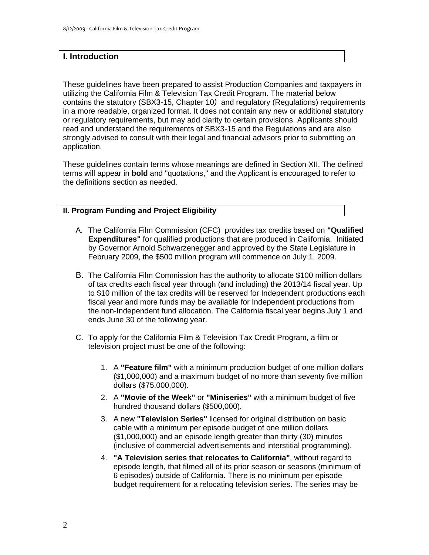### **I. Introduction**

These guidelines have been prepared to assist Production Companies and taxpayers in utilizing the California Film & Television Tax Credit Program. The material below contains the statutory (SBX3-15, Chapter 10*)* and regulatory (Regulations) requirements in a more readable, organized format. It does not contain any new or additional statutory or regulatory requirements, but may add clarity to certain provisions. Applicants should read and understand the requirements of SBX3-15 and the Regulations and are also strongly advised to consult with their legal and financial advisors prior to submitting an application.

These guidelines contain terms whose meanings are defined in Section XII. The defined terms will appear in **bold** and "quotations," and the Applicant is encouraged to refer to the definitions section as needed.

#### **II. Program Funding and Project Eligibility**

- A. The California Film Commission (CFC) provides tax credits based on **"Qualified Expenditures"** for qualified productions that are produced in California. Initiated by Governor Arnold Schwarzenegger and approved by the State Legislature in February 2009, the \$500 million program will commence on July 1, 2009.
- B. The California Film Commission has the authority to allocate \$100 million dollars of tax credits each fiscal year through (and including) the 2013/14 fiscal year. Up to \$10 million of the tax credits will be reserved for Independent productions each fiscal year and more funds may be available for Independent productions from the non-Independent fund allocation. The California fiscal year begins July 1 and ends June 30 of the following year.
- C. To apply for the California Film & Television Tax Credit Program, a film or television project must be one of the following:
	- 1. A **"Feature film"** with a minimum production budget of one million dollars (\$1,000,000) and a maximum budget of no more than seventy five million dollars (\$75,000,000).
	- 2. A **"Movie of the Week"** or **"Miniseries"** with a minimum budget of five hundred thousand dollars (\$500,000).
	- 3. A new **"Television Series"** licensed for original distribution on basic cable with a minimum per episode budget of one million dollars (\$1,000,000) and an episode length greater than thirty (30) minutes (inclusive of commercial advertisements and interstitial programming).
	- 4. **"A Television series that relocates to California"**, without regard to episode length, that filmed all of its prior season or seasons (minimum of 6 episodes) outside of California. There is no minimum per episode budget requirement for a relocating television series. The series may be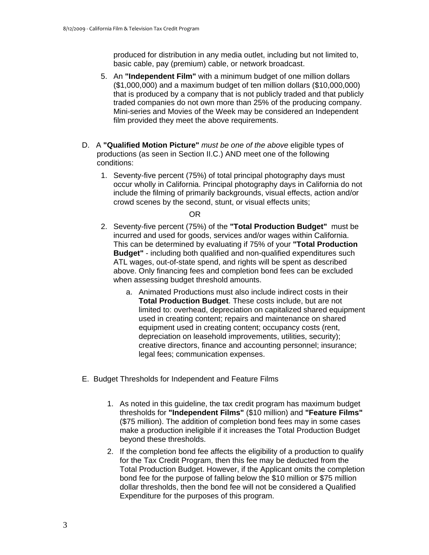produced for distribution in any media outlet, including but not limited to, basic cable, pay (premium) cable, or network broadcast.

- 5. An **"Independent Film"** with a minimum budget of one million dollars (\$1,000,000) and a maximum budget of ten million dollars (\$10,000,000) that is produced by a company that is not publicly traded and that publicly traded companies do not own more than 25% of the producing company. Mini-series and Movies of the Week may be considered an Independent film provided they meet the above requirements.
- D. A **"Qualified Motion Picture"** *must be one of the above* eligible types of productions (as seen in Section II.C.) AND meet one of the following conditions:
	- 1. Seventy-five percent (75%) of total principal photography days must occur wholly in California. Principal photography days in California do not include the filming of primarily backgrounds, visual effects, action and/or crowd scenes by the second, stunt, or visual effects units;

#### **Contract of the Contract of the Contract of the Contract of the Contract of the Contract of the Contract of th**

- 2. Seventy-five percent (75%) of the **"Total Production Budget"** must be incurred and used for goods, services and/or wages within California. This can be determined by evaluating if 75% of your **"Total Production Budget"** - including both qualified and non-qualified expenditures such ATL wages, out-of-state spend, and rights will be spent as described above. Only financing fees and completion bond fees can be excluded when assessing budget threshold amounts.
	- a. Animated Productions must also include indirect costs in their **Total Production Budget**. These costs include, but are not limited to: overhead, depreciation on capitalized shared equipment used in creating content; repairs and maintenance on shared equipment used in creating content; occupancy costs (rent, depreciation on leasehold improvements, utilities, security); creative directors, finance and accounting personnel; insurance; legal fees; communication expenses.
- E. Budget Thresholds for Independent and Feature Films
	- 1. As noted in this guideline, the tax credit program has maximum budget thresholds for **"Independent Films"** (\$10 million) and **"Feature Films"**  (\$75 million). The addition of completion bond fees may in some cases make a production ineligible if it increases the Total Production Budget beyond these thresholds.
	- 2. If the completion bond fee affects the eligibility of a production to qualify for the Tax Credit Program, then this fee may be deducted from the Total Production Budget. However, if the Applicant omits the completion bond fee for the purpose of falling below the \$10 million or \$75 million dollar thresholds, then the bond fee will not be considered a Qualified Expenditure for the purposes of this program.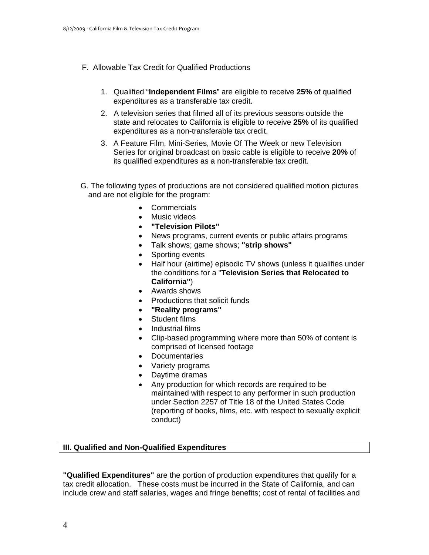- F. Allowable Tax Credit for Qualified Productions
	- 1. Qualified "**Independent Films**" are eligible to receive **25%** of qualified expenditures as a transferable tax credit.
	- 2. A television series that filmed all of its previous seasons outside the state and relocates to California is eligible to receive **25%** of its qualified expenditures as a non-transferable tax credit.
	- 3. A Feature Film, Mini-Series, Movie Of The Week or new Television Series for original broadcast on basic cable is eligible to receive **20%** of its qualified expenditures as a non-transferable tax credit.
- G. The following types of productions are not considered qualified motion pictures and are not eligible for the program:
	- Commercials
	- Music videos
	- • **"Television Pilots"**
	- News programs, current events or public affairs programs
	- Talk shows; game shows; "strip shows"
	- Sporting events
	- Half hour (airtime) episodic TV shows (unless it qualifies under the conditions for a "**Television Series that Relocated to California"**)
	- Awards shows
	- • Productions that solicit funds
	- • **"Reality programs"**
	- Student films
	- • Industrial films
	- Clip-based programming where more than 50% of content is comprised of licensed footage
	- Documentaries
	- Variety programs
	- • Daytime dramas
	- Any production for which records are required to be maintained with respect to any performer in such production under Section 2257 of Title 18 of the United States Code (reporting of books, films, etc. with respect to sexually explicit conduct)

#### **III. Qualified and Non-Qualified Expenditures**

**"Qualified Expenditures"** are the portion of production expenditures that qualify for a tax credit allocation. These costs must be incurred in the State of California, and can include crew and staff salaries, wages and fringe benefits; cost of rental of facilities and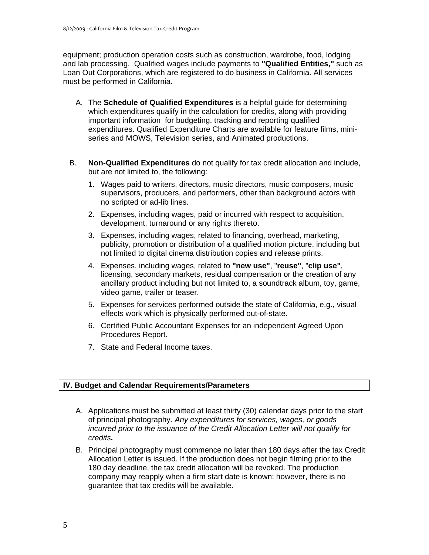equipment; production operation costs such as construction, wardrobe, food, lodging and lab processing. Qualified wages include payments to **"Qualified Entities,"** such as Loan Out Corporations, which are registered to do business in California. All services must be performed in California.

- A. The **Schedule of Qualified Expenditures** is a helpful guide for determining which expenditures qualify in the calculation for credits, along with providing important information for budgeting, tracking and reporting qualified expenditures. Qualified Expenditure Charts are available for feature films, miniseries and MOWS, Television series, and Animated productions.
- B. **Non-Qualified Expenditures** do not qualify for tax credit allocation and include, but are not limited to, the following:
	- 1. Wages paid to writers, directors, music directors, music composers, music supervisors, producers, and performers, other than background actors with no scripted or ad-lib lines.
	- 2. Expenses, including wages, paid or incurred with respect to acquisition, development, turnaround or any rights thereto.
	- 3. Expenses, including wages, related to financing, overhead, marketing, publicity, promotion or distribution of a qualified motion picture, including but not limited to digital cinema distribution copies and release prints.
	- 4. Expenses, including wages, related to **"new use"**, "**reuse"**, "**clip use"**, licensing, secondary markets, residual compensation or the creation of any ancillary product including but not limited to, a soundtrack album, toy, game, video game, trailer or teaser.
	- 5. Expenses for services performed outside the state of California, e.g., visual effects work which is physically performed out-of-state.
	- 6. Certified Public Accountant Expenses for an independent Agreed Upon Procedures Report.
	- 7. State and Federal Income taxes.

#### **IV. Budget and Calendar Requirements/Parameters**

- A. Applications must be submitted at least thirty (30) calendar days prior to the start of principal photography. *Any expenditures for services, wages, or goods incurred prior to the issuance of the Credit Allocation Letter will not qualify for credits.*
- B. Principal photography must commence no later than 180 days after the tax Credit Allocation Letter is issued. If the production does not begin filming prior to the 180 day deadline, the tax credit allocation will be revoked. The production company may reapply when a firm start date is known; however, there is no guarantee that tax credits will be available.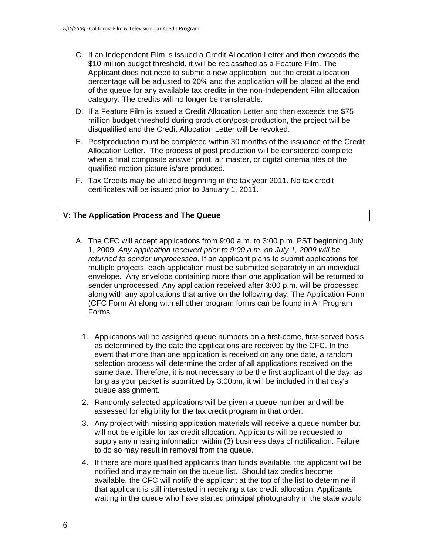- C. If an Independent Film is issued a Credit Allocation Letter and then exceeds the \$10 million budget threshold, it will be reclassified as a Feature Film. The Applicant does not need to submit a new application, but the credit allocation percentage will be adjusted to 20% and the application will be placed at the end of the queue for any available tax credits in the non-Independent Film allocation category. The credits will no longer be transferable.
- D. If a Feature Film is issued a Credit Allocation Letter and then exceeds the \$75 million budget threshold during production/post-production, the project will be disqualified and the Credit Allocation Letter will be revoked.
- E. Postproduction must be completed within 30 months of the issuance of the Credit Allocation Letter. The process of post production will be considered complete when a final composite answer print, air master, or digital cinema files of the qualified motion picture is/are produced.
- F. Tax Credits may be utilized beginning in the tax year 2011. No tax credit certificates will be issued prior to January 1, 2011.

#### **V: The Application Process and The Queue**

- A. The CFC will accept applications from 9:00 a.m. to 3:00 p.m. PST beginning July 1, 2009. *Any application received prior to 9:00 a.m. on July 1, 2009 will be returned to sender unprocessed.* If an applicant plans to submit applications for multiple projects, each application must be submitted separately in an individual envelope. Any envelope containing more than one application will be returned to sender unprocessed. Any application received after 3:00 p.m. will be processed along with any applications that arrive on the following day. The Application Form (CFC Form A) along with all other program forms can be found in All Program Forms*.* 
	- 1. Applications will be assigned queue numbers on a first-come, first-served basis as determined by the date the applications are received by the CFC. In the event that more than one application is received on any one date, a random selection process will determine the order of all applications received on the same date. Therefore, it is not necessary to be the first applicant of the day; as long as your packet is submitted by 3:00pm, it will be included in that day's queue assignment.
	- 2. Randomly selected applications will be given a queue number and will be assessed for eligibility for the tax credit program in that order.
	- 3. Any project with missing application materials will receive a queue number but will not be eligible for tax credit allocation. Applicants will be requested to supply any missing information within (3) business days of notification. Failure to do so may result in removal from the queue.
	- 4. If there are more qualified applicants than funds available, the applicant will be notified and may remain on the queue list. Should tax credits become available, the CFC will notify the applicant at the top of the list to determine if that applicant is still interested in receiving a tax credit allocation. Applicants waiting in the queue who have started principal photography in the state would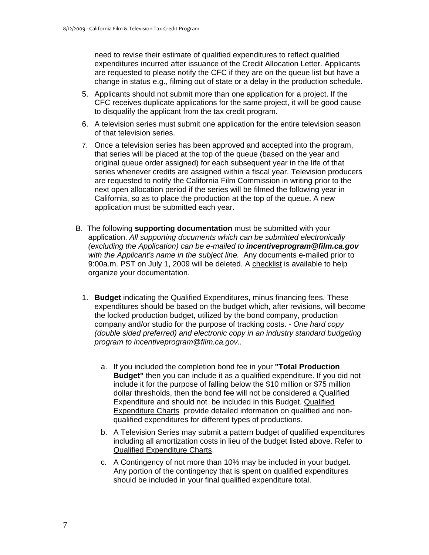need to revise their estimate of qualified expenditures to reflect qualified expenditures incurred after issuance of the Credit Allocation Letter. Applicants are requested to please notify the CFC if they are on the queue list but have a change in status e.g., filming out of state or a delay in the production schedule.

- 5. Applicants should not submit more than one application for a project. If the CFC receives duplicate applications for the same project, it will be good cause to disqualify the applicant from the tax credit program.
- 6. A television series must submit one application for the entire television season of that television series.
- 7. Once a television series has been approved and accepted into the program, that series will be placed at the top of the queue (based on the year and original queue order assigned) for each subsequent year in the life of that series whenever credits are assigned within a fiscal year. Television producers are requested to notify the California Film Commission in writing prior to the next open allocation period if the series will be filmed the following year in California, so as to place the production at the top of the queue. A new application must be submitted each year.
- B. The following **supporting documentation** must be submitted with your application. *All supporting documents which can be submitted electronically (excluding the Application) can be e-mailed to incentiveprogram@film.ca.gov with the Applicant's name in the subject line.* Any documents e-mailed prior to 9:00a.m. PST on July 1, 2009 will be deleted. A checklist is available to help organize your documentation.
	- 1. **Budget** indicating the Qualified Expenditures, minus financing fees. These expenditures should be based on the budget which, after revisions, will become the locked production budget, utilized by the bond company, production company and/or studio for the purpose of tracking costs. - *One hard copy (double sided preferred) and electronic copy in an industry standard budgeting program to incentiveprogram@film.ca.gov..* 
		- a. If you included the completion bond fee in your **"Total Production Budget"** then you can include it as a qualified expenditure. If you did not include it for the purpose of falling below the \$10 million or \$75 million dollar thresholds, then the bond fee will not be considered a Qualified Expenditure and should not be included in this Budget. Qualified Expenditure Charts provide detailed information on qualified and nonqualified expenditures for different types of productions.
		- b. A Television Series may submit a pattern budget of qualified expenditures including all amortization costs in lieu of the budget listed above. Refer to Qualified Expenditure Charts.
		- c. A Contingency of not more than 10% may be included in your budget. Any portion of the contingency that is spent on qualified expenditures should be included in your final qualified expenditure total.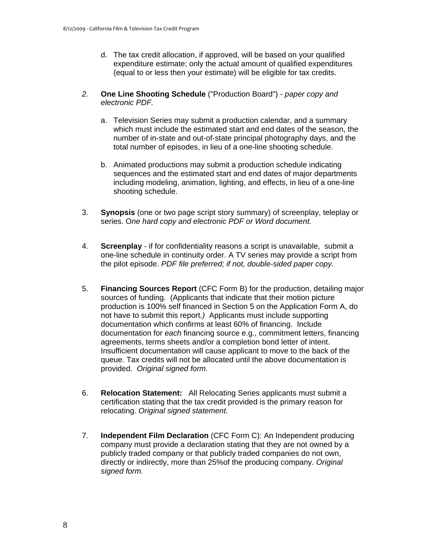- d. The tax credit allocation, if approved, will be based on your qualified expenditure estimate; only the actual amount of qualified expenditures (equal to or less then your estimate) will be eligible for tax credits.
- *2.* **One Line Shooting Schedule** ("Production Board") *paper copy and electronic PDF.* 
	- a. Television Series may submit a production calendar, and a summary which must include the estimated start and end dates of the season, the number of in-state and out-of-state principal photography days, and the total number of episodes, in lieu of a one-line shooting schedule.
	- b. Animated productions may submit a production schedule indicating sequences and the estimated start and end dates of major departments including modeling, animation, lighting, and effects, in lieu of a one-line shooting schedule.
- 3. **Synopsis** (one or two page script story summary) of screenplay, teleplay or series. O*ne hard copy and electronic PDF or Word document.*
- 4. **Screenplay**  if for confidentiality reasons a script is unavailable, submit a one-line schedule in continuity order. A TV series may provide a script from the pilot episode. *PDF file preferred; if not, double-sided paper copy.*
- 5. **Financing Sources Report** (CFC Form B) for the production, detailing major sources of funding. (Applicants that indicate that their motion picture production is 100% self financed in Section 5 on the Application Form A, do not have to submit this report*.)* Applicants must include supporting documentation which confirms at least 60% of financing. Include documentation for *each* financing source e.g., commitment letters, financing agreements, terms sheets and/or a completion bond letter of intent. Insufficient documentation will cause applicant to move to the back of the queue. Tax credits will not be allocated until the above documentation is provided. *Original signed form.*
- 6. **Relocation Statement:** All Relocating Series applicants must submit a certification stating that the tax credit provided is the primary reason for relocating. *Original signed statement.*
- 7. **Independent Film Declaration** (CFC Form C): An Independent producing company must provide a declaration stating that they are not owned by a publicly traded company or that publicly traded companies do not own, directly or indirectly, more than 25%of the producing company. *Original signed form.*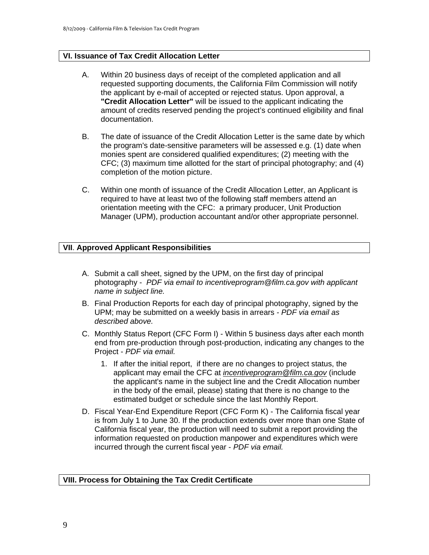#### **VI. Issuance of Tax Credit Allocation Letter**

- A. Within 20 business days of receipt of the completed application and all requested supporting documents, the California Film Commission will notify the applicant by e-mail of accepted or rejected status. Upon approval, a **"Credit Allocation Letter"** will be issued to the applicant indicating the amount of credits reserved pending the project's continued eligibility and final documentation.
- B. The date of issuance of the Credit Allocation Letter is the same date by which the program's date-sensitive parameters will be assessed e.g. (1) date when monies spent are considered qualified expenditures; (2) meeting with the CFC; (3) maximum time allotted for the start of principal photography; and (4) completion of the motion picture.
- C. Within one month of issuance of the Credit Allocation Letter, an Applicant is required to have at least two of the following staff members attend an orientation meeting with the CFC: a primary producer, Unit Production Manager (UPM), production accountant and/or other appropriate personnel.

#### **VII**. **Approved Applicant Responsibilities**

- A. Submit a call sheet, signed by the UPM, on the first day of principal photography - *PDF via email to incentiveprogram@film.ca.gov with applicant name in subject line.*
- B. Final Production Reports for each day of principal photography, signed by the UPM; may be submitted on a weekly basis in arrears *- PDF via email as described above.*
- C. Monthly Status Report (CFC Form I) Within 5 business days after each month end from pre-production through post-production, indicating any changes to the Project - *PDF via email.* 
	- 1. If after the initial report, if there are no changes to project status, the applicant may email the CFC at *incentiveprogram@film.ca.gov* (include the applicant's name in the subject line and the Credit Allocation number in the body of the email, please) stating that there is no change to the estimated budget or schedule since the last Monthly Report.
- incurred through the current fiscal year *PDF via email.* D. Fiscal Year-End Expenditure Report (CFC Form K) - The California fiscal year is from July 1 to June 30. If the production extends over more than one State of California fiscal year, the production will need to submit a report providing the information requested on production manpower and expenditures which were

#### **VIII. Process for Obtaining the Tax Credit Certificate**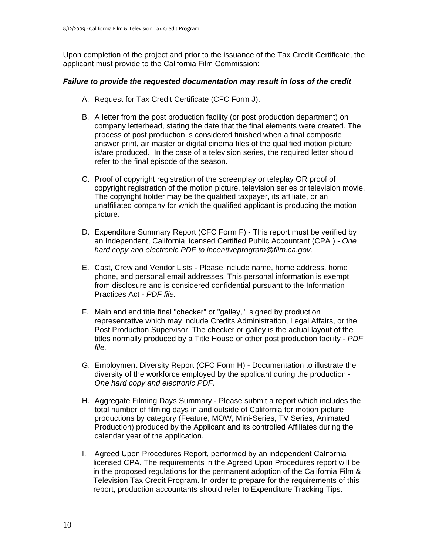applicant must provide to the California Film Commission: Upon completion of the project and prior to the issuance of the Tax Credit Certificate, the

#### *Failure to provide the requested documentation may result in loss of the credit*

- A. Request for Tax Credit Certificate (CFC Form J).
- B. A letter from the post production facility (or post production department) on company letterhead, stating the date that the final elements were created. The process of post production is considered finished when a final composite answer print, air master or digital cinema files of the qualified motion picture is/are produced. In the case of a television series, the required letter should refer to the final episode of the season.
- C. Proof of copyright registration of the screenplay or teleplay OR proof of copyright registration of the motion picture, television series or television movie. The copyright holder may be the qualified taxpayer, its affiliate, or an unaffiliated company for which the qualified applicant is producing the motion picture.
- D. Expenditure Summary Report (CFC Form F) This report must be verified by an Independent, California licensed Certified Public Accountant (CPA ) - *One hard copy and electronic PDF to incentiveprogram@film.ca.gov.*
- E. Cast, Crew and Vendor Lists Please include name, home address, home phone, and personal email addresses. This personal information is exempt from disclosure and is considered confidential pursuant to the Information Practices Act - *PDF file.*
- F. Main and end title final "checker" or "galley," signed by production representative which may include Credits Administration, Legal Affairs, or the Post Production Supervisor. The checker or galley is the actual layout of the titles normally produced by a Title House or other post production facility - *PDF file.*
- G. Employment Diversity Report (CFC Form H) **-** Documentation to illustrate the diversity of the workforce employed by the applicant during the production - *One hard copy and electronic PDF.*
- H. Aggregate Filming Days Summary Please submit a report which includes the total number of filming days in and outside of California for motion picture productions by category (Feature, MOW, Mini-Series, TV Series, Animated Production) produced by the Applicant and its controlled Affiliates during the calendar year of the application.
- I. Agreed Upon Procedures Report, performed by an independent California licensed CPA. The requirements in the Agreed Upon Procedures report will be in the proposed regulations for the permanent adoption of the California Film & Television Tax Credit Program. In order to prepare for the requirements of this report, production accountants should refer to Expenditure Tracking Tips.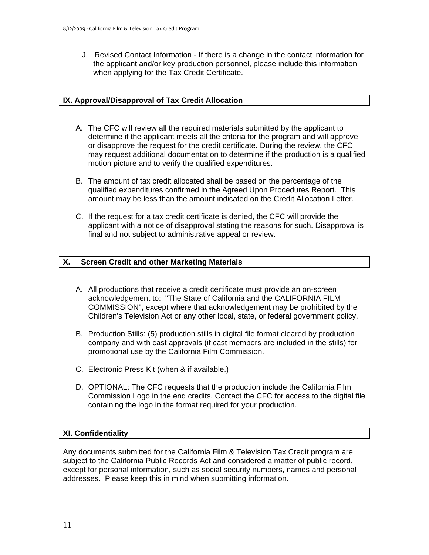J. Revised Contact Information - If there is a change in the contact information for the applicant and/or key production personnel, please include this information when applying for the Tax Credit Certificate.

#### **IX. Approval/Disapproval of Tax Credit Allocation**

- A. The CFC will review all the required materials submitted by the applicant to determine if the applicant meets all the criteria for the program and will approve or disapprove the request for the credit certificate. During the review, the CFC may request additional documentation to determine if the production is a qualified motion picture and to verify the qualified expenditures.
- B. The amount of tax credit allocated shall be based on the percentage of the qualified expenditures confirmed in the Agreed Upon Procedures Report. This amount may be less than the amount indicated on the Credit Allocation Letter.
- C. If the request for a tax credit certificate is denied, the CFC will provide the applicant with a notice of disapproval stating the reasons for such. Disapproval is final and not subject to administrative appeal or review.

#### **X. X. Screen Credit and other Marketing Materials**

- A. All productions that receive a credit certificate must provide an on-screen acknowledgement to: "The State of California and the CALIFORNIA FILM COMMISSION"**,** except where that acknowledgement may be prohibited by the Children's Television Act or any other local, state, or federal government policy.
- B. Production Stills: (5) production stills in digital file format cleared by production company and with cast approvals (if cast members are included in the stills) for promotional use by the California Film Commission.
- C. Electronic Press Kit (when & if available.)
- D. OPTIONAL: The CFC requests that the production include the California Film Commission Logo in the end credits. Contact the CFC for access to the digital file containing the logo in the format required for your production.

#### **XI. Confidentiality**

Any documents submitted for the California Film & Television Tax Credit program are subject to the California Public Records Act and considered a matter of public record, except for personal information, such as social security numbers, names and personal addresses. Please keep this in mind when submitting information.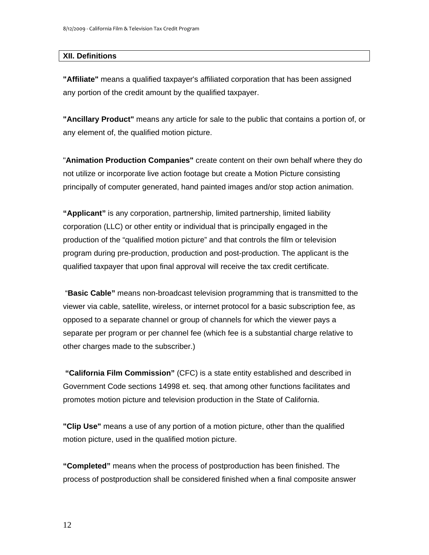#### **XII. Definitions**

**"Affiliate"** means a qualified taxpayer's affiliated corporation that has been assigned any portion of the credit amount by the qualified taxpayer.

**"Ancillary Product"** means any article for sale to the public that contains a portion of, or any element of, the qualified motion picture.

"**Animation Production Companies"** create content on their own behalf where they do not utilize or incorporate live action footage but create a Motion Picture consisting principally of computer generated, hand painted images and/or stop action animation.

**"Applicant"** is any corporation, partnership, limited partnership, limited liability corporation (LLC) or other entity or individual that is principally engaged in the production of the "qualified motion picture" and that controls the film or television program during pre-production, production and post-production. The applicant is the qualified taxpayer that upon final approval will receive the tax credit certificate.

"**Basic Cable"** means non-broadcast television programming that is transmitted to the viewer via cable, satellite, wireless, or internet protocol for a basic subscription fee, as opposed to a separate channel or group of channels for which the viewer pays a separate per program or per channel fee (which fee is a substantial charge relative to other charges made to the subscriber.)

**"California Film Commission"** (CFC) is a state entity established and described in Government Code sections 14998 et. seq. that among other functions facilitates and promotes motion picture and television production in the State of California.

**"Clip Use"** means a use of any portion of a motion picture, other than the qualified motion picture, used in the qualified motion picture.

**"Completed"** means when the process of postproduction has been finished. The process of postproduction shall be considered finished when a final composite answer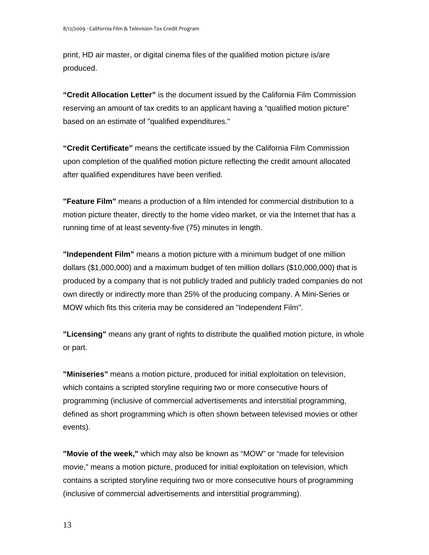print, HD air master, or digital cinema files of the qualified motion picture is/are produced.

**"Credit Allocation Letter"** is the document issued by the California Film Commission reserving an amount of tax credits to an applicant having a "qualified motion picture" based on an estimate of "qualified expenditures."

**"Credit Certificate"** means the certificate issued by the California Film Commission upon completion of the qualified motion picture reflecting the credit amount allocated after qualified expenditures have been verified.

**"Feature Film"** means a production of a film intended for commercial distribution to a motion picture theater, directly to the home video market, or via the Internet that has a running time of at least seventy-five (75) minutes in length.

**"Independent Film"** means a motion picture with a minimum budget of one million dollars (\$1,000,000) and a maximum budget of ten million dollars (\$10,000,000) that is produced by a company that is not publicly traded and publicly traded companies do not own directly or indirectly more than 25% of the producing company. A Mini-Series or MOW which fits this criteria may be considered an "Independent Film".

**"Licensing"** means any grant of rights to distribute the qualified motion picture, in whole or part.

**"Miniseries"** means a motion picture, produced for initial exploitation on television, which contains a scripted storyline requiring two or more consecutive hours of programming (inclusive of commercial advertisements and interstitial programming, defined as short programming which is often shown between televised movies or other events).

**"Movie of the week,"** which may also be known as "MOW" or "made for television movie," means a motion picture, produced for initial exploitation on television, which contains a scripted storyline requiring two or more consecutive hours of programming (inclusive of commercial advertisements and interstitial programming).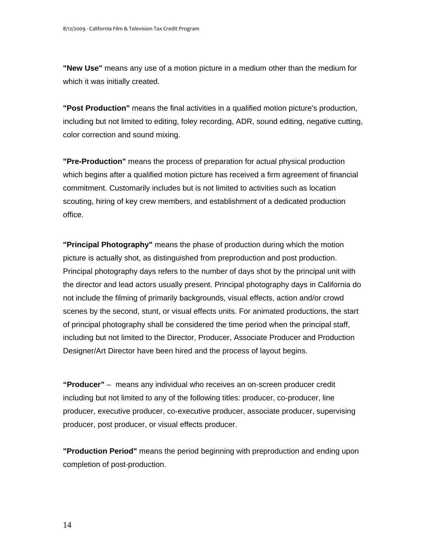**"New Use"** means any use of a motion picture in a medium other than the medium for which it was initially created.

**"Post Production"** means the final activities in a qualified motion picture's production, including but not limited to editing, foley recording, ADR, sound editing, negative cutting, color correction and sound mixing.

**"Pre-Production"** means the process of preparation for actual physical production which begins after a qualified motion picture has received a firm agreement of financial commitment. Customarily includes but is not limited to activities such as location scouting, hiring of key crew members, and establishment of a dedicated production office.

**"Principal Photography"** means the phase of production during which the motion picture is actually shot, as distinguished from preproduction and post production. Principal photography days refers to the number of days shot by the principal unit with the director and lead actors usually present. Principal photography days in California do not include the filming of primarily backgrounds, visual effects, action and/or crowd scenes by the second, stunt, or visual effects units. For animated productions, the start of principal photography shall be considered the time period when the principal staff, including but not limited to the Director, Producer, Associate Producer and Production Designer/Art Director have been hired and the process of layout begins.

**"Producer"** – means any individual who receives an on-screen producer credit including but not limited to any of the following titles: producer, co-producer, line producer, executive producer, co-executive producer, associate producer, supervising producer, post producer, or visual effects producer.

**"Production Period"** means the period beginning with preproduction and ending upon completion of post-production.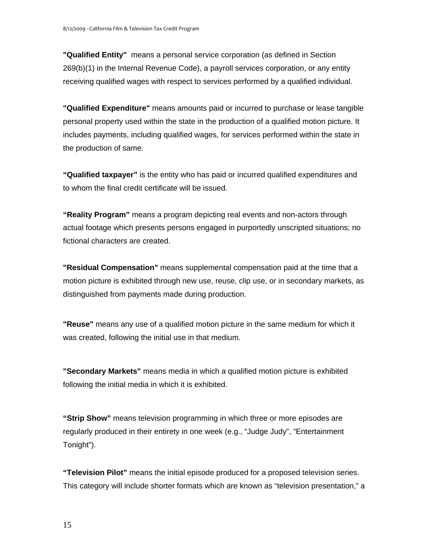**"Qualified Entity"** means a personal service corporation (as defined in Section 269(b)(1) in the Internal Revenue Code), a payroll services corporation, or any entity receiving qualified wages with respect to services performed by a qualified individual.

**"Qualified Expenditure"** means amounts paid or incurred to purchase or lease tangible personal property used within the state in the production of a qualified motion picture. It includes payments, including qualified wages, for services performed within the state in the production of same.

**"Qualified taxpayer"** is the entity who has paid or incurred qualified expenditures and to whom the final credit certificate will be issued.

**"Reality Program"** means a program depicting real events and non-actors through actual footage which presents persons engaged in purportedly unscripted situations; no fictional characters are created.

**"Residual Compensation"** means supplemental compensation paid at the time that a motion picture is exhibited through new use, reuse, clip use, or in secondary markets, as distinguished from payments made during production.

**"Reuse"** means any use of a qualified motion picture in the same medium for which it was created, following the initial use in that medium.

**"Secondary Markets"** means media in which a qualified motion picture is exhibited following the initial media in which it is exhibited.

**"Strip Show"** means television programming in which three or more episodes are regularly produced in their entirety in one week (e.g., "Judge Judy", "Entertainment Tonight").

**"Television Pilot"** means the initial episode produced for a proposed television series. This category will include shorter formats which are known as "television presentation," a